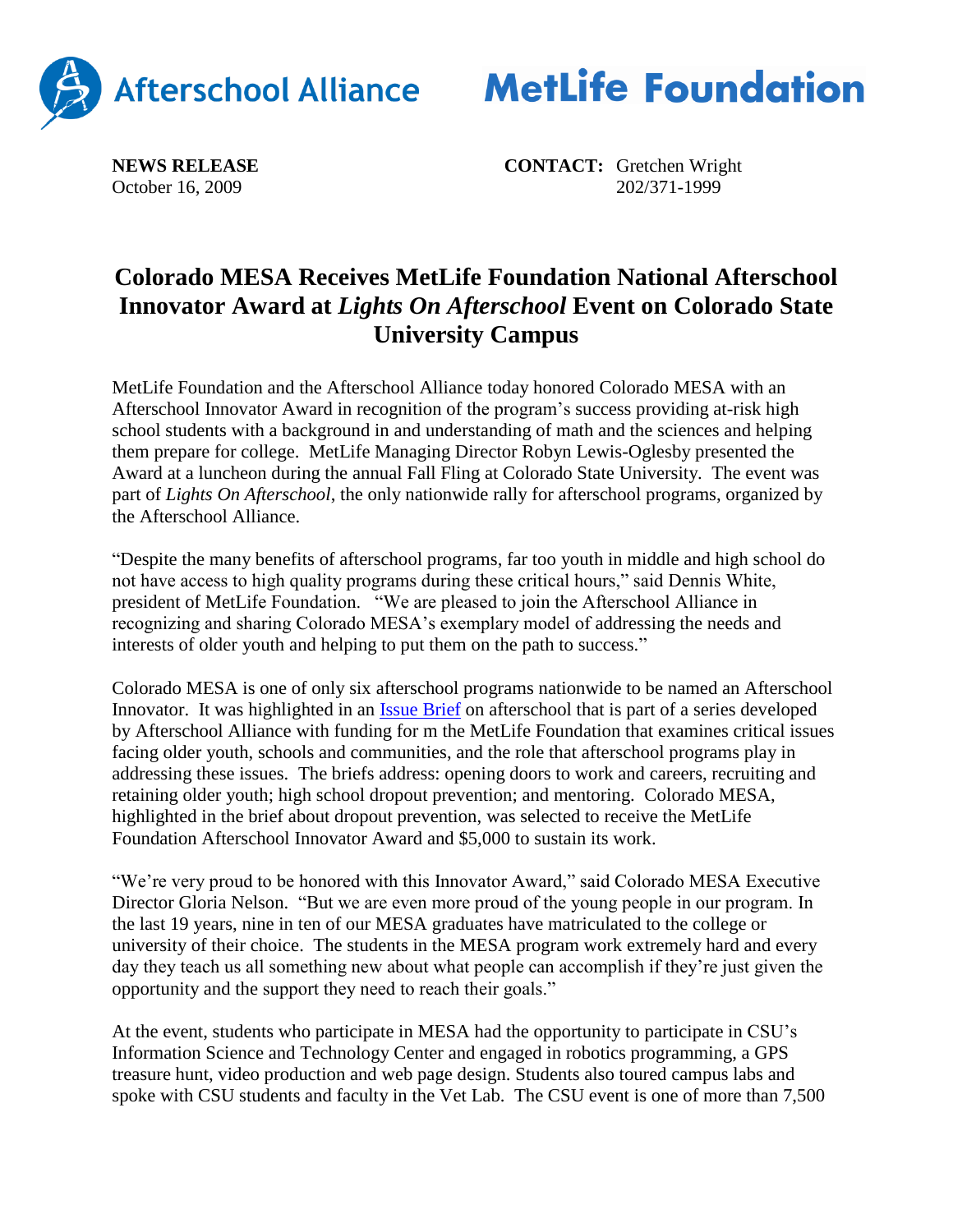



**NEWS RELEASE CONTACT:** Gretchen Wright October 16, 2009 202/371-1999

## **Colorado MESA Receives MetLife Foundation National Afterschool Innovator Award at** *Lights On Afterschool* **Event on Colorado State University Campus**

MetLife Foundation and the Afterschool Alliance today honored Colorado MESA with an Afterschool Innovator Award in recognition of the program's success providing at-risk high school students with a background in and understanding of math and the sciences and helping them prepare for college. MetLife Managing Director Robyn Lewis-Oglesby presented the Award at a luncheon during the annual Fall Fling at Colorado State University. The event was part of *Lights On Afterschool*, the only nationwide rally for afterschool programs, organized by the Afterschool Alliance.

"Despite the many benefits of afterschool programs, far too youth in middle and high school do not have access to high quality programs during these critical hours," said Dennis White, president of MetLife Foundation. "We are pleased to join the Afterschool Alliance in recognizing and sharing Colorado MESA's exemplary model of addressing the needs and interests of older youth and helping to put them on the path to success."

Colorado MESA is one of only six afterschool programs nationwide to be named an Afterschool Innovator. It was highlighted in an [Issue Brief](http://www.afterschoolalliance.org/issue_briefs/dropout_prevention_brief_38_FINAL%5B1%5D.pdf) on afterschool that is part of a series developed by Afterschool Alliance with funding for m the MetLife Foundation that examines critical issues facing older youth, schools and communities, and the role that afterschool programs play in addressing these issues. The briefs address: opening doors to work and careers, recruiting and retaining older youth; high school dropout prevention; and mentoring. Colorado MESA, highlighted in the brief about dropout prevention, was selected to receive the MetLife Foundation Afterschool Innovator Award and \$5,000 to sustain its work.

"We're very proud to be honored with this Innovator Award," said Colorado MESA Executive Director Gloria Nelson. "But we are even more proud of the young people in our program. In the last 19 years, nine in ten of our MESA graduates have matriculated to the college or university of their choice. The students in the MESA program work extremely hard and every day they teach us all something new about what people can accomplish if they're just given the opportunity and the support they need to reach their goals."

At the event, students who participate in MESA had the opportunity to participate in CSU's Information Science and Technology Center and engaged in robotics programming, a GPS treasure hunt, video production and web page design. Students also toured campus labs and spoke with CSU students and faculty in the Vet Lab. The CSU event is one of more than 7,500